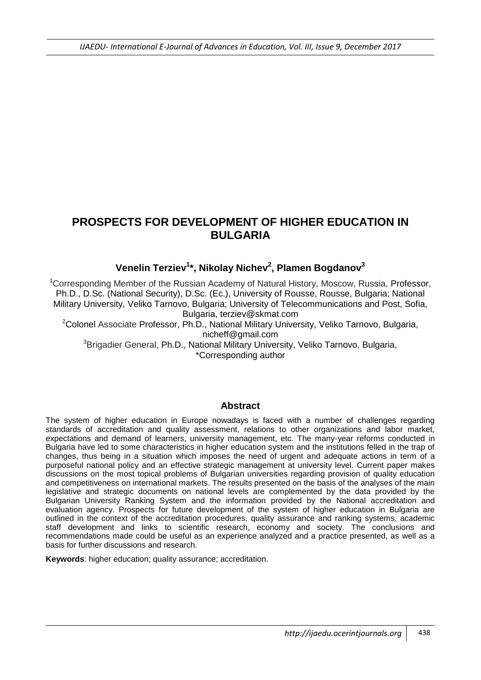# **PROSPECTS FOR DEVELOPMENT OF HIGHER EDUCATION IN BULGARIA**

## **Venelin Terziev<sup>1</sup> \*, Nikolay Nichev<sup>2</sup> , Plamen Bogdanov<sup>3</sup>**

<sup>1</sup>Corresponding Member of the Russian Academy of Natural History, Moscow, Russia, Professor, Ph.D., D.Sc. (National Security), D.Sc. (Ec.), University of Rousse, Rousse, Bulgaria; National Military University, Veliko Tarnovo, Bulgaria; University of Telecommunications and Post, Sofia, Bulgaria, terziev@skmat.com

 $2$ Colonel Associate Professor, Ph.D., National Military University, Veliko Tarnovo, Bulgaria, [nicheff@gmail.com](mailto:nicheff@gmail.com)

<sup>3</sup>Brigadier General, Ph.D., National Military University, Veliko Tarnovo, Bulgaria, \*Corresponding author

### **Abstract**

The system of higher education in Europe nowadays is faced with a number of challenges regarding standards of accreditation and quality assessment, relations to other organizations and labor market, expectations and demand of learners, university management, etc. The many-year reforms conducted in Bulgaria have led to some characteristics in higher education system and the institutions felled in the trap of changes, thus being in a situation which imposes the need of urgent and adequate actions in term of a purposeful national policy and an effective strategic management at university level. Current paper makes discussions on the most topical problems of Bulgarian universities regarding provision of quality education and competitiveness on international markets. The results presented on the basis of the analyses of the main legislative and strategic documents on national levels are complemented by the data provided by the Bulgarian University Ranking System and the information provided by the National accreditation and evaluation agency. Prospects for future development of the system of higher education in Bulgaria are outlined in the context of the accreditation procedures, quality assurance and ranking systems, academic staff development and links to scientific research, economy and society. The conclusions and recommendations made could be useful as an experience analyzed and a practice presented, as well as a basis for further discussions and research.

**Keywords**: higher education; quality assurance; accreditation.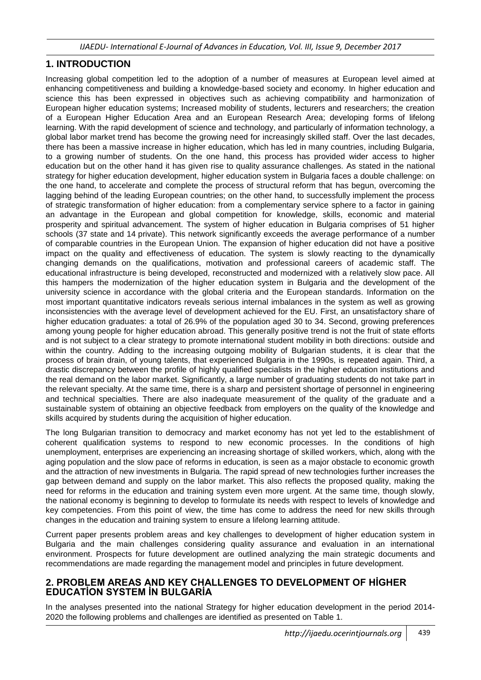*IJAEDU- International E-Journal of Advances in Education, Vol. III, Issue 9, December 2017*

## **1. INTRODUCTION**

Increasing global competition led to the adoption of a number of measures at European level aimed at enhancing competitiveness and building a knowledge-based society and economy. In higher education and science this has been expressed in objectives such as achieving compatibility and harmonization of European higher education systems; Increased mobility of students, lecturers and researchers; the creation of a European Higher Education Area and an European Research Area; developing forms of lifelong learning. With the rapid development of science and technology, and particularly of information technology, a global labor market trend has become the growing need for increasingly skilled staff. Over the last decades, there has been a massive increase in higher education, which has led in many countries, including Bulgaria, to a growing number of students. On the one hand, this process has provided wider access to higher education but on the other hand it has given rise to quality assurance challenges. As stated in the national strategy for higher education development, higher education system in Bulgaria faces a double challenge: on the one hand, to accelerate and complete the process of structural reform that has begun, overcoming the lagging behind of the leading European countries; on the other hand, to successfully implement the process of strategic transformation of higher education: from a complementary service sphere to a factor in gaining an advantage in the European and global competition for knowledge, skills, economic and material prosperity and spiritual advancement. The system of higher education in Bulgaria comprises of 51 higher schools (37 state and 14 private). This network significantly exceeds the average performance of a number of comparable countries in the European Union. The expansion of higher education did not have a positive impact on the quality and effectiveness of education. The system is slowly reacting to the dynamically changing demands on the qualifications, motivation and professional careers of academic staff. The educational infrastructure is being developed, reconstructed and modernized with a relatively slow pace. All this hampers the modernization of the higher education system in Bulgaria and the development of the university science in accordance with the global criteria and the European standards. Information on the most important quantitative indicators reveals serious internal imbalances in the system as well as growing inconsistencies with the average level of development achieved for the EU. First, an unsatisfactory share of higher education graduates: a total of 26.9% of the population aged 30 to 34. Second, growing preferences among young people for higher education abroad. This generally positive trend is not the fruit of state efforts and is not subject to a clear strategy to promote international student mobility in both directions: outside and within the country. Adding to the increasing outgoing mobility of Bulgarian students, it is clear that the process of brain drain, of young talents, that experienced Bulgaria in the 1990s, is repeated again. Third, a drastic discrepancy between the profile of highly qualified specialists in the higher education institutions and the real demand on the labor market. Significantly, a large number of graduating students do not take part in the relevant specialty. At the same time, there is a sharp and persistent shortage of personnel in engineering and technical specialties. There are also inadequate measurement of the quality of the graduate and a sustainable system of obtaining an objective feedback from employers on the quality of the knowledge and skills acquired by students during the acquisition of higher education.

The long Bulgarian transition to democracy and market economy has not yet led to the establishment of coherent qualification systems to respond to new economic processes. In the conditions of high unemployment, enterprises are experiencing an increasing shortage of skilled workers, which, along with the aging population and the slow pace of reforms in education, is seen as a major obstacle to economic growth and the attraction of new investments in Bulgaria. The rapid spread of new technologies further increases the gap between demand and supply on the labor market. This also reflects the proposed quality, making the need for reforms in the education and training system even more urgent. At the same time, though slowly, the national economy is beginning to develop to formulate its needs with respect to levels of knowledge and key competencies. From this point of view, the time has come to address the need for new skills through changes in the education and training system to ensure a lifelong learning attitude.

Current paper presents problem areas and key challenges to development of higher education system in Bulgaria and the main challenges considering quality assurance and evaluation in an international environment. Prospects for future development are outlined analyzing the main strategic documents and recommendations are made regarding the management model and principles in future development.

### **2. PROBLEM AREAS AND KEY CHALLENGES TO DEVELOPMENT OF HİGHER EDUCATİON SYSTEM İN BULGARİA**

In the analyses presented into the national Strategy for higher education development in the period 2014- 2020 the following problems and challenges are identified as presented on Table 1.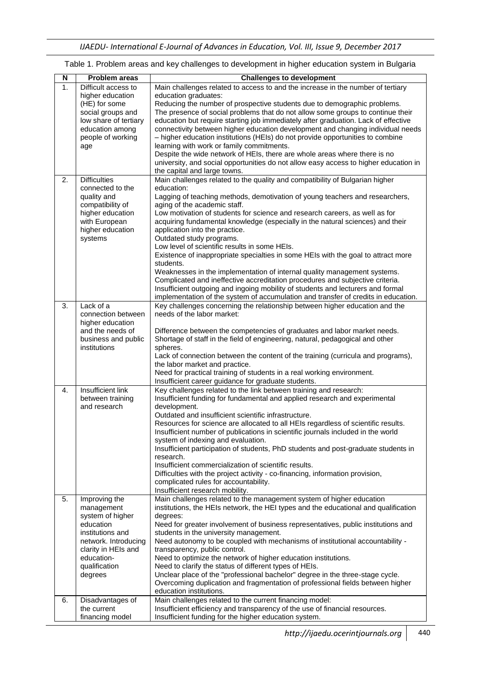| N  | <b>Problem</b> areas                     | <b>Challenges to development</b>                                                                                                                                      |
|----|------------------------------------------|-----------------------------------------------------------------------------------------------------------------------------------------------------------------------|
| 1. | Difficult access to                      | Main challenges related to access to and the increase in the number of tertiary                                                                                       |
|    | higher education                         | education graduates:                                                                                                                                                  |
|    | (HE) for some                            | Reducing the number of prospective students due to demographic problems.                                                                                              |
|    | social groups and                        | The presence of social problems that do not allow some groups to continue their                                                                                       |
|    | low share of tertiary<br>education among | education but require starting job immediately after graduation. Lack of effective<br>connectivity between higher education development and changing individual needs |
|    | people of working                        | - higher education institutions (HEIs) do not provide opportunities to combine                                                                                        |
|    | age                                      | learning with work or family commitments.                                                                                                                             |
|    |                                          | Despite the wide network of HEIs, there are whole areas where there is no                                                                                             |
|    |                                          | university, and social opportunities do not allow easy access to higher education in                                                                                  |
|    |                                          | the capital and large towns.                                                                                                                                          |
| 2. | <b>Difficulties</b>                      | Main challenges related to the quality and compatibility of Bulgarian higher                                                                                          |
|    | connected to the                         | education:                                                                                                                                                            |
|    | quality and                              | Lagging of teaching methods, demotivation of young teachers and researchers,                                                                                          |
|    | compatibility of                         | aging of the academic staff.                                                                                                                                          |
|    | higher education<br>with European        | Low motivation of students for science and research careers, as well as for<br>acquiring fundamental knowledge (especially in the natural sciences) and their         |
|    | higher education                         | application into the practice.                                                                                                                                        |
|    | systems                                  | Outdated study programs.                                                                                                                                              |
|    |                                          | Low level of scientific results in some HEIs.                                                                                                                         |
|    |                                          | Existence of inappropriate specialties in some HEIs with the goal to attract more                                                                                     |
|    |                                          | students.                                                                                                                                                             |
|    |                                          | Weaknesses in the implementation of internal quality management systems.                                                                                              |
|    |                                          | Complicated and ineffective accreditation procedures and subjective criteria.                                                                                         |
|    |                                          | Insufficient outgoing and ingoing mobility of students and lecturers and formal<br>implementation of the system of accumulation and transfer of credits in education. |
| 3. | Lack of a                                | Key challenges concerning the relationship between higher education and the                                                                                           |
|    | connection between                       | needs of the labor market:                                                                                                                                            |
|    | higher education                         |                                                                                                                                                                       |
|    | and the needs of                         | Difference between the competencies of graduates and labor market needs.                                                                                              |
|    | business and public                      | Shortage of staff in the field of engineering, natural, pedagogical and other                                                                                         |
|    | institutions                             | spheres.                                                                                                                                                              |
|    |                                          | Lack of connection between the content of the training (curricula and programs),                                                                                      |
|    |                                          | the labor market and practice.                                                                                                                                        |
|    |                                          | Need for practical training of students in a real working environment.<br>Insufficient career guidance for graduate students.                                         |
| 4. | Insufficient link                        | Key challenges related to the link between training and research:                                                                                                     |
|    | between training                         | Insufficient funding for fundamental and applied research and experimental                                                                                            |
|    | and research                             | development.                                                                                                                                                          |
|    |                                          | Outdated and insufficient scientific infrastructure.                                                                                                                  |
|    |                                          | Resources for science are allocated to all HEIs regardless of scientific results.                                                                                     |
|    |                                          | Insufficient number of publications in scientific journals included in the world                                                                                      |
|    |                                          | system of indexing and evaluation.<br>Insufficient participation of students, PhD students and post-graduate students in                                              |
|    |                                          | research.                                                                                                                                                             |
|    |                                          | Insufficient commercialization of scientific results.                                                                                                                 |
|    |                                          | Difficulties with the project activity - co-financing, information provision,                                                                                         |
|    |                                          | complicated rules for accountability.                                                                                                                                 |
|    |                                          | Insufficient research mobility.                                                                                                                                       |
| 5. | Improving the                            | Main challenges related to the management system of higher education                                                                                                  |
|    | management                               | institutions, the HEIs network, the HEI types and the educational and qualification                                                                                   |
|    | system of higher<br>education            | degrees:<br>Need for greater involvement of business representatives, public institutions and                                                                         |
|    | institutions and                         | students in the university management.                                                                                                                                |
|    | network. Introducing                     | Need autonomy to be coupled with mechanisms of institutional accountability -                                                                                         |
|    | clarity in HEIs and                      | transparency, public control.                                                                                                                                         |
|    | education-                               | Need to optimize the network of higher education institutions.                                                                                                        |
|    | qualification                            | Need to clarify the status of different types of HEIs.                                                                                                                |
|    | degrees                                  | Unclear place of the "professional bachelor" degree in the three-stage cycle.                                                                                         |
|    |                                          | Overcoming duplication and fragmentation of professional fields between higher                                                                                        |
|    |                                          | education institutions.                                                                                                                                               |
| 6. | Disadvantages of<br>the current          | Main challenges related to the current financing model:                                                                                                               |
|    | financing model                          | Insufficient efficiency and transparency of the use of financial resources.<br>Insufficient funding for the higher education system.                                  |
|    |                                          |                                                                                                                                                                       |

Table 1. Problem areas and key challenges to development in higher education system in Bulgaria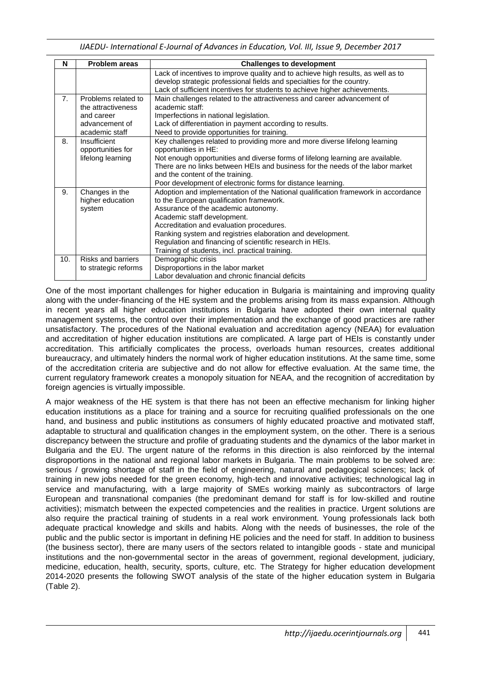| N              | <b>Problem areas</b> | <b>Challenges to development</b>                                                  |
|----------------|----------------------|-----------------------------------------------------------------------------------|
|                |                      | Lack of incentives to improve quality and to achieve high results, as well as to  |
|                |                      | develop strategic professional fields and specialties for the country.            |
|                |                      | Lack of sufficient incentives for students to achieve higher achievements.        |
| 7 <sub>1</sub> | Problems related to  | Main challenges related to the attractiveness and career advancement of           |
|                | the attractiveness   | academic staff:                                                                   |
|                | and career           | Imperfections in national legislation.                                            |
|                | advancement of       | Lack of differentiation in payment according to results.                          |
|                | academic staff       | Need to provide opportunities for training.                                       |
| 8.             | Insufficient         | Key challenges related to providing more and more diverse lifelong learning       |
|                | opportunities for    | opportunities in HE:                                                              |
|                | lifelong learning    | Not enough opportunities and diverse forms of lifelong learning are available.    |
|                |                      | There are no links between HEIs and business for the needs of the labor market    |
|                |                      | and the content of the training.                                                  |
|                |                      | Poor development of electronic forms for distance learning.                       |
| 9.             | Changes in the       | Adoption and implementation of the National qualification framework in accordance |
|                | higher education     | to the European qualification framework.                                          |
|                | system               | Assurance of the academic autonomy.                                               |
|                |                      | Academic staff development.                                                       |
|                |                      | Accreditation and evaluation procedures.                                          |
|                |                      | Ranking system and registries elaboration and development.                        |
|                |                      | Regulation and financing of scientific research in HEIs.                          |
|                |                      | Training of students, incl. practical training.                                   |
| 10.            | Risks and barriers   | Demographic crisis                                                                |
|                | to strategic reforms | Disproportions in the labor market                                                |
|                |                      | Labor devaluation and chronic financial deficits                                  |

One of the most important challenges for higher education in Bulgaria is maintaining and improving quality along with the under-financing of the HE system and the problems arising from its mass expansion. Although in recent years all higher education institutions in Bulgaria have adopted their own internal quality management systems, the control over their implementation and the exchange of good practices are rather unsatisfactory. The procedures of the National evaluation and accreditation agency (NEAA) for evaluation and accreditation of higher education institutions are complicated. A large part of HEIs is constantly under accreditation. This artificially complicates the process, overloads human resources, creates additional bureaucracy, and ultimately hinders the normal work of higher education institutions. At the same time, some of the accreditation criteria are subjective and do not allow for effective evaluation. At the same time, the current regulatory framework creates a monopoly situation for NEAA, and the recognition of accreditation by foreign agencies is virtually impossible.

A major weakness of the HE system is that there has not been an effective mechanism for linking higher education institutions as a place for training and a source for recruiting qualified professionals on the one hand, and business and public institutions as consumers of highly educated proactive and motivated staff, adaptable to structural and qualification changes in the employment system, on the other. There is a serious discrepancy between the structure and profile of graduating students and the dynamics of the labor market in Bulgaria and the EU. The urgent nature of the reforms in this direction is also reinforced by the internal disproportions in the national and regional labor markets in Bulgaria. The main problems to be solved are: serious / growing shortage of staff in the field of engineering, natural and pedagogical sciences; lack of training in new jobs needed for the green economy, high-tech and innovative activities; technological lag in service and manufacturing, with a large majority of SMEs working mainly as subcontractors of large European and transnational companies (the predominant demand for staff is for low-skilled and routine activities); mismatch between the expected competencies and the realities in practice. Urgent solutions are also require the practical training of students in a real work environment. Young professionals lack both adequate practical knowledge and skills and habits. Along with the needs of businesses, the role of the public and the public sector is important in defining HE policies and the need for staff. In addition to business (the business sector), there are many users of the sectors related to intangible goods - state and municipal institutions and the non-governmental sector in the areas of government, regional development, judiciary, medicine, education, health, security, sports, culture, etc. The Strategy for higher education development 2014-2020 presents the following SWOT analysis of the state of the higher education system in Bulgaria (Table 2).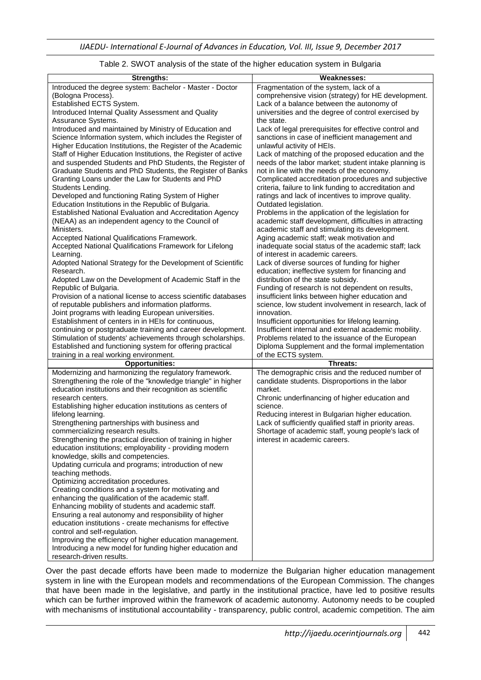| Strengths:                                                                                                      | <b>Weaknesses:</b>                                                                                           |
|-----------------------------------------------------------------------------------------------------------------|--------------------------------------------------------------------------------------------------------------|
| Introduced the degree system: Bachelor - Master - Doctor                                                        | Fragmentation of the system, lack of a                                                                       |
| (Bologna Process).                                                                                              | comprehensive vision (strategy) for HE development.                                                          |
| Established ECTS System.                                                                                        | Lack of a balance between the autonomy of                                                                    |
| Introduced Internal Quality Assessment and Quality                                                              | universities and the degree of control exercised by                                                          |
| Assurance Systems.                                                                                              | the state.                                                                                                   |
| Introduced and maintained by Ministry of Education and                                                          | Lack of legal prerequisites for effective control and                                                        |
| Science Information system, which includes the Register of                                                      | sanctions in case of inefficient management and                                                              |
| Higher Education Institutions, the Register of the Academic                                                     | unlawful activity of HEIs.                                                                                   |
| Staff of Higher Education Institutions, the Register of active                                                  | Lack of matching of the proposed education and the                                                           |
| and suspended Students and PhD Students, the Register of                                                        | needs of the labor market; student intake planning is                                                        |
| Graduate Students and PhD Students, the Register of Banks                                                       | not in line with the needs of the economy.                                                                   |
| Granting Loans under the Law for Students and PhD                                                               | Complicated accreditation procedures and subjective                                                          |
| Students Lending.                                                                                               | criteria, failure to link funding to accreditation and                                                       |
| Developed and functioning Rating System of Higher                                                               | ratings and lack of incentives to improve quality.                                                           |
| Education Institutions in the Republic of Bulgaria.<br>Established National Evaluation and Accreditation Agency | Outdated legislation.                                                                                        |
| (NEAA) as an independent agency to the Council of                                                               | Problems in the application of the legislation for<br>academic staff development, difficulties in attracting |
| Ministers.                                                                                                      | academic staff and stimulating its development.                                                              |
| Accepted National Qualifications Framework.                                                                     | Aging academic staff; weak motivation and                                                                    |
| Accepted National Qualifications Framework for Lifelong                                                         | inadequate social status of the academic staff; lack                                                         |
| Learning.                                                                                                       | of interest in academic careers.                                                                             |
| Adopted National Strategy for the Development of Scientific                                                     | Lack of diverse sources of funding for higher                                                                |
| Research.                                                                                                       | education; ineffective system for financing and                                                              |
| Adopted Law on the Development of Academic Staff in the                                                         | distribution of the state subsidy.                                                                           |
| Republic of Bulgaria.                                                                                           | Funding of research is not dependent on results,                                                             |
| Provision of a national license to access scientific databases                                                  | insufficient links between higher education and                                                              |
| of reputable publishers and information platforms.                                                              | science, low student involvement in research, lack of                                                        |
| Joint programs with leading European universities.                                                              | innovation.                                                                                                  |
| Establishment of centers in in HEIs for continuous,                                                             | Insufficient opportunities for lifelong learning.                                                            |
| continuing or postgraduate training and career development.                                                     | Insufficient internal and external academic mobility.                                                        |
| Stimulation of students' achievements through scholarships.                                                     | Problems related to the issuance of the European                                                             |
| Established and functioning system for offering practical                                                       | Diploma Supplement and the formal implementation                                                             |
| training in a real working environment.                                                                         | of the ECTS system.                                                                                          |
| <b>Opportunities:</b>                                                                                           | Threats:                                                                                                     |
| Modernizing and harmonizing the regulatory framework.                                                           | The demographic crisis and the reduced number of                                                             |
| Strengthening the role of the "knowledge triangle" in higher                                                    | candidate students. Disproportions in the labor                                                              |
| education institutions and their recognition as scientific                                                      | market.                                                                                                      |
| research centers.                                                                                               | Chronic underfinancing of higher education and                                                               |
| Establishing higher education institutions as centers of<br>lifelong learning.                                  | science.<br>Reducing interest in Bulgarian higher education.                                                 |
| Strengthening partnerships with business and                                                                    | Lack of sufficiently qualified staff in priority areas.                                                      |
| commercializing research results.                                                                               | Shortage of academic staff, young people's lack of                                                           |
| Strengthening the practical direction of training in higher                                                     | interest in academic careers.                                                                                |
| education institutions; employability - providing modern                                                        |                                                                                                              |
| knowledge, skills and competencies.                                                                             |                                                                                                              |
| Updating curricula and programs; introduction of new                                                            |                                                                                                              |
| teaching methods.                                                                                               |                                                                                                              |
| Optimizing accreditation procedures.                                                                            |                                                                                                              |
| Creating conditions and a system for motivating and                                                             |                                                                                                              |
| enhancing the qualification of the academic staff.                                                              |                                                                                                              |
| Enhancing mobility of students and academic staff.                                                              |                                                                                                              |
| Ensuring a real autonomy and responsibility of higher                                                           |                                                                                                              |
| education institutions - create mechanisms for effective                                                        |                                                                                                              |
| control and self-regulation.                                                                                    |                                                                                                              |
| Improving the efficiency of higher education management.                                                        |                                                                                                              |
| Introducing a new model for funding higher education and                                                        |                                                                                                              |
| research-driven results.                                                                                        |                                                                                                              |

| Table 2. SWOT analysis of the state of the higher education system in Bulgaria |  |  |
|--------------------------------------------------------------------------------|--|--|
|--------------------------------------------------------------------------------|--|--|

Over the past decade efforts have been made to modernize the Bulgarian higher education management system in line with the European models and recommendations of the European Commission. The changes that have been made in the legislative, and partly in the institutional practice, have led to positive results which can be further improved within the framework of academic autonomy. Autonomy needs to be coupled with mechanisms of institutional accountability - transparency, public control, academic competition. The aim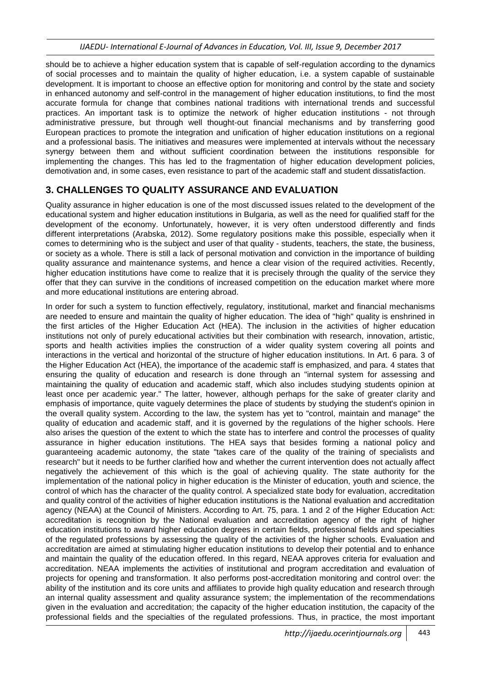should be to achieve a higher education system that is capable of self-regulation according to the dynamics of social processes and to maintain the quality of higher education, i.e. a system capable of sustainable development. It is important to choose an effective option for monitoring and control by the state and society in enhanced autonomy and self-control in the management of higher education institutions, to find the most accurate formula for change that combines national traditions with international trends and successful practices. An important task is to optimize the network of higher education institutions - not through administrative pressure, but through well thought-out financial mechanisms and by transferring good European practices to promote the integration and unification of higher education institutions on a regional and a professional basis. The initiatives and measures were implemented at intervals without the necessary synergy between them and without sufficient coordination between the institutions responsible for implementing the changes. This has led to the fragmentation of higher education development policies, demotivation and, in some cases, even resistance to part of the academic staff and student dissatisfaction.

### **3. CHALLENGES TO QUALITY ASSURANCE AND EVALUATION**

Quality assurance in higher education is one of the most discussed issues related to the development of the educational system and higher education institutions in Bulgaria, as well as the need for qualified staff for the development of the economy. Unfortunately, however, it is very often understood differently and finds different interpretations (Arabska, 2012). Some regulatory positions make this possible, especially when it comes to determining who is the subject and user of that quality - students, teachers, the state, the business, or society as a whole. There is still a lack of personal motivation and conviction in the importance of building quality assurance and maintenance systems, and hence a clear vision of the required activities. Recently, higher education institutions have come to realize that it is precisely through the quality of the service they offer that they can survive in the conditions of increased competition on the education market where more and more educational institutions are entering abroad.

In order for such a system to function effectively, regulatory, institutional, market and financial mechanisms are needed to ensure and maintain the quality of higher education. The idea of "high" quality is enshrined in the first articles of the Higher Education Act (HEA). The inclusion in the activities of higher education institutions not only of purely educational activities but their combination with research, innovation, artistic, sports and health activities implies the construction of a wider quality system covering all points and interactions in the vertical and horizontal of the structure of higher education institutions. In Art. 6 para. 3 of the Higher Education Act (HEA), the importance of the academic staff is emphasized, and para. 4 states that ensuring the quality of education and research is done through an "internal system for assessing and maintaining the quality of education and academic staff, which also includes studying students opinion at least once per academic year." The latter, however, although perhaps for the sake of greater clarity and emphasis of importance, quite vaguely determines the place of students by studying the student's opinion in the overall quality system. According to the law, the system has yet to "control, maintain and manage" the quality of education and academic staff, and it is governed by the regulations of the higher schools. Here also arises the question of the extent to which the state has to interfere and control the processes of quality assurance in higher education institutions. The HEA says that besides forming a national policy and guaranteeing academic autonomy, the state "takes care of the quality of the training of specialists and research" but it needs to be further clarified how and whether the current intervention does not actually affect negatively the achievement of this which is the goal of achieving quality. The state authority for the implementation of the national policy in higher education is the Minister of education, youth and science, the control of which has the character of the quality control. A specialized state body for evaluation, accreditation and quality control of the activities of higher education institutions is the National evaluation and accreditation agency (NEAA) at the Council of Ministers. According to Art. 75, para. 1 and 2 of the Higher Education Act: accreditation is recognition by the National evaluation and accreditation agency of the right of higher education institutions to award higher education degrees in certain fields, professional fields and specialties of the regulated professions by assessing the quality of the activities of the higher schools. Evaluation and accreditation are aimed at stimulating higher education institutions to develop their potential and to enhance and maintain the quality of the education offered. In this regard, NEAA approves criteria for evaluation and accreditation. NEAA implements the activities of institutional and program accreditation and evaluation of projects for opening and transformation. It also performs post-accreditation monitoring and control over: the ability of the institution and its core units and affiliates to provide high quality education and research through an internal quality assessment and quality assurance system; the implementation of the recommendations given in the evaluation and accreditation; the capacity of the higher education institution, the capacity of the professional fields and the specialties of the regulated professions. Thus, in practice, the most important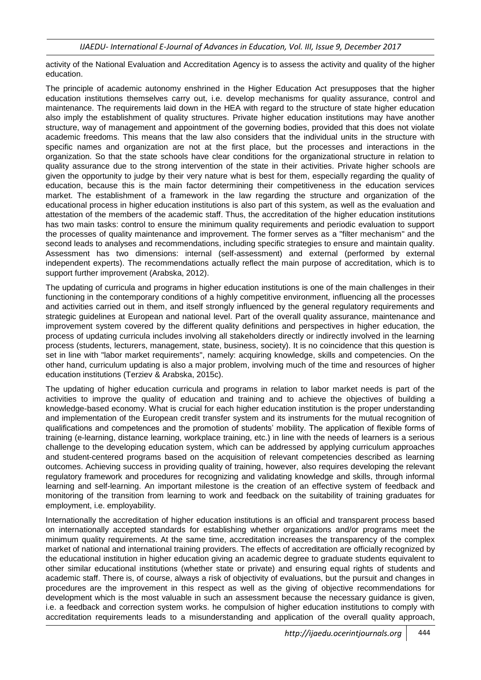activity of the National Evaluation and Accreditation Agency is to assess the activity and quality of the higher education.

The principle of academic autonomy enshrined in the Higher Education Act presupposes that the higher education institutions themselves carry out, i.e. develop mechanisms for quality assurance, control and maintenance. The requirements laid down in the HEA with regard to the structure of state higher education also imply the establishment of quality structures. Private higher education institutions may have another structure, way of management and appointment of the governing bodies, provided that this does not violate academic freedoms. This means that the law also considers that the individual units in the structure with specific names and organization are not at the first place, but the processes and interactions in the organization. So that the state schools have clear conditions for the organizational structure in relation to quality assurance due to the strong intervention of the state in their activities. Private higher schools are given the opportunity to judge by their very nature what is best for them, especially regarding the quality of education, because this is the main factor determining their competitiveness in the education services market. The establishment of a framework in the law regarding the structure and organization of the educational process in higher education institutions is also part of this system, as well as the evaluation and attestation of the members of the academic staff. Thus, the accreditation of the higher education institutions has two main tasks: control to ensure the minimum quality requirements and periodic evaluation to support the processes of quality maintenance and improvement. The former serves as a "filter mechanism" and the second leads to analyses and recommendations, including specific strategies to ensure and maintain quality. Assessment has two dimensions: internal (self-assessment) and external (performed by external independent experts). The recommendations actually reflect the main purpose of accreditation, which is to support further improvement (Arabska, 2012).

The updating of curricula and programs in higher education institutions is one of the main challenges in their functioning in the contemporary conditions of a highly competitive environment, influencing all the processes and activities carried out in them, and itself strongly influenced by the general regulatory requirements and strategic guidelines at European and national level. Part of the overall quality assurance, maintenance and improvement system covered by the different quality definitions and perspectives in higher education, the process of updating curricula includes involving all stakeholders directly or indirectly involved in the learning process (students, lecturers, management, state, business, society). It is no coincidence that this question is set in line with "labor market requirements", namely: acquiring knowledge, skills and competencies. On the other hand, curriculum updating is also a major problem, involving much of the time and resources of higher education institutions (Terziev & Arabska, 2015c).

The updating of higher education curricula and programs in relation to labor market needs is part of the activities to improve the quality of education and training and to achieve the objectives of building a knowledge-based economy. What is crucial for each higher education institution is the proper understanding and implementation of the European credit transfer system and its instruments for the mutual recognition of qualifications and competences and the promotion of students' mobility. The application of flexible forms of training (e-learning, distance learning, workplace training, etc.) in line with the needs of learners is a serious challenge to the developing education system, which can be addressed by applying curriculum approaches and student-centered programs based on the acquisition of relevant competencies described as learning outcomes. Achieving success in providing quality of training, however, also requires developing the relevant regulatory framework and procedures for recognizing and validating knowledge and skills, through informal learning and self-learning. An important milestone is the creation of an effective system of feedback and monitoring of the transition from learning to work and feedback on the suitability of training graduates for employment, i.e. employability.

Internationally the accreditation of higher education institutions is an official and transparent process based on internationally accepted standards for establishing whether organizations and/or programs meet the minimum quality requirements. At the same time, accreditation increases the transparency of the complex market of national and international training providers. The effects of accreditation are officially recognized by the educational institution in higher education giving an academic degree to graduate students equivalent to other similar educational institutions (whether state or private) and ensuring equal rights of students and academic staff. There is, of course, always a risk of objectivity of evaluations, but the pursuit and changes in procedures are the improvement in this respect as well as the giving of objective recommendations for development which is the most valuable in such an assessment because the necessary guidance is given, i.e. a feedback and correction system works. he compulsion of higher education institutions to comply with accreditation requirements leads to a misunderstanding and application of the overall quality approach,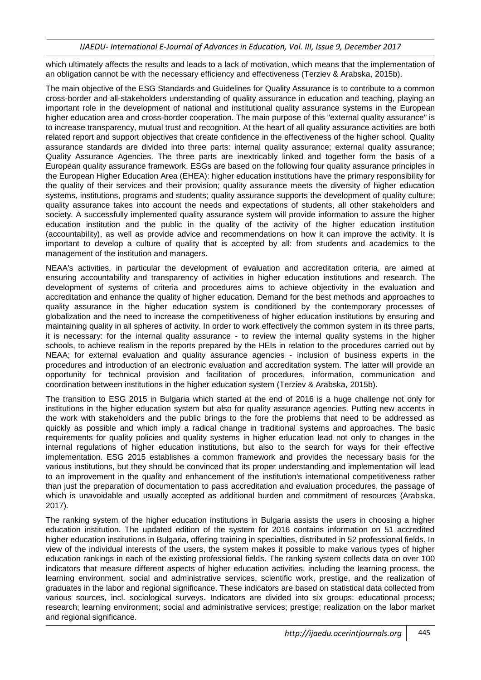which ultimately affects the results and leads to a lack of motivation, which means that the implementation of an obligation cannot be with the necessary efficiency and effectiveness (Terziev & Arabska, 2015b).

The main objective of the ESG Standards and Guidelines for Quality Assurance is to contribute to a common cross-border and all-stakeholders understanding of quality assurance in education and teaching, playing an important role in the development of national and institutional quality assurance systems in the European higher education area and cross-border cooperation. The main purpose of this "external quality assurance" is to increase transparency, mutual trust and recognition. At the heart of all quality assurance activities are both related report and support objectives that create confidence in the effectiveness of the higher school. Quality assurance standards are divided into three parts: internal quality assurance; external quality assurance; Quality Assurance Agencies. The three parts are inextricably linked and together form the basis of a European quality assurance framework. ESGs are based on the following four quality assurance principles in the European Higher Education Area (EHEA): higher education institutions have the primary responsibility for the quality of their services and their provision; quality assurance meets the diversity of higher education systems, institutions, programs and students; quality assurance supports the development of quality culture; quality assurance takes into account the needs and expectations of students, all other stakeholders and society. A successfully implemented quality assurance system will provide information to assure the higher education institution and the public in the quality of the activity of the higher education institution (accountability), as well as provide advice and recommendations on how it can improve the activity. It is important to develop a culture of quality that is accepted by all: from students and academics to the management of the institution and managers.

NEAA's activities, in particular the development of evaluation and accreditation criteria, are aimed at ensuring accountability and transparency of activities in higher education institutions and research. The development of systems of criteria and procedures aims to achieve objectivity in the evaluation and accreditation and enhance the quality of higher education. Demand for the best methods and approaches to quality assurance in the higher education system is conditioned by the contemporary processes of globalization and the need to increase the competitiveness of higher education institutions by ensuring and maintaining quality in all spheres of activity. In order to work effectively the common system in its three parts, it is necessary: for the internal quality assurance - to review the internal quality systems in the higher schools, to achieve realism in the reports prepared by the HEIs in relation to the procedures carried out by NEAA; for external evaluation and quality assurance agencies - inclusion of business experts in the procedures and introduction of an electronic evaluation and accreditation system. The latter will provide an opportunity for technical provision and facilitation of procedures, information, communication and coordination between institutions in the higher education system (Terziev & Arabska, 2015b).

The transition to ESG 2015 in Bulgaria which started at the end of 2016 is a huge challenge not only for institutions in the higher education system but also for quality assurance agencies. Putting new accents in the work with stakeholders and the public brings to the fore the problems that need to be addressed as quickly as possible and which imply a radical change in traditional systems and approaches. The basic requirements for quality policies and quality systems in higher education lead not only to changes in the internal regulations of higher education institutions, but also to the search for ways for their effective implementation. ESG 2015 establishes a common framework and provides the necessary basis for the various institutions, but they should be convinced that its proper understanding and implementation will lead to an improvement in the quality and enhancement of the institution's international competitiveness rather than just the preparation of documentation to pass accreditation and evaluation procedures, the passage of which is unavoidable and usually accepted as additional burden and commitment of resources (Arabska, 2017).

The ranking system of the higher education institutions in Bulgaria assists the users in choosing a higher education institution. The updated edition of the system for 2016 contains information on 51 accredited higher education institutions in Bulgaria, offering training in specialties, distributed in 52 professional fields. In view of the individual interests of the users, the system makes it possible to make various types of higher education rankings in each of the existing professional fields. The ranking system collects data on over 100 indicators that measure different aspects of higher education activities, including the learning process, the learning environment, social and administrative services, scientific work, prestige, and the realization of graduates in the labor and regional significance. These indicators are based on statistical data collected from various sources, incl. sociological surveys. Indicators are divided into six groups: educational process; research; learning environment; social and administrative services; prestige; realization on the labor market and regional significance.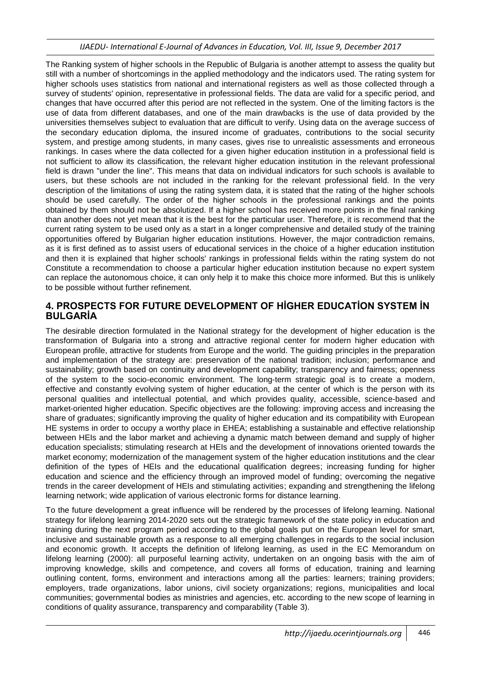#### *IJAEDU- International E-Journal of Advances in Education, Vol. III, Issue 9, December 2017*

The Ranking system of higher schools in the Republic of Bulgaria is another attempt to assess the quality but still with a number of shortcomings in the applied methodology and the indicators used. The rating system for higher schools uses statistics from national and international registers as well as those collected through a survey of students' opinion, representative in professional fields. The data are valid for a specific period, and changes that have occurred after this period are not reflected in the system. One of the limiting factors is the use of data from different databases, and one of the main drawbacks is the use of data provided by the universities themselves subject to evaluation that are difficult to verify. Using data on the average success of the secondary education diploma, the insured income of graduates, contributions to the social security system, and prestige among students, in many cases, gives rise to unrealistic assessments and erroneous rankings. In cases where the data collected for a given higher education institution in a professional field is not sufficient to allow its classification, the relevant higher education institution in the relevant professional field is drawn "under the line". This means that data on individual indicators for such schools is available to users, but these schools are not included in the ranking for the relevant professional field. In the very description of the limitations of using the rating system data, it is stated that the rating of the higher schools should be used carefully. The order of the higher schools in the professional rankings and the points obtained by them should not be absolutized. If a higher school has received more points in the final ranking than another does not yet mean that it is the best for the particular user. Therefore, it is recommend that the current rating system to be used only as a start in a longer comprehensive and detailed study of the training opportunities offered by Bulgarian higher education institutions. However, the major contradiction remains, as it is first defined as to assist users of educational services in the choice of a higher education institution and then it is explained that higher schools' rankings in professional fields within the rating system do not Constitute a recommendation to choose a particular higher education institution because no expert system can replace the autonomous choice, it can only help it to make this choice more informed. But this is unlikely to be possible without further refinement.

### **4. PROSPECTS FOR FUTURE DEVELOPMENT OF HİGHER EDUCATİON SYSTEM İN BULGARİA**

The desirable direction formulated in the National strategy for the development of higher education is the transformation of Bulgaria into a strong and attractive regional center for modern higher education with European profile, attractive for students from Europe and the world. The guiding principles in the preparation and implementation of the strategy are: preservation of the national tradition; inclusion; performance and sustainability; growth based on continuity and development capability; transparency and fairness; openness of the system to the socio-economic environment. The long-term strategic goal is to create a modern, effective and constantly evolving system of higher education, at the center of which is the person with its personal qualities and intellectual potential, and which provides quality, accessible, science-based and market-oriented higher education. Specific objectives are the following: improving access and increasing the share of graduates; significantly improving the quality of higher education and its compatibility with European HE systems in order to occupy a worthy place in EHEA; establishing a sustainable and effective relationship between HEIs and the labor market and achieving a dynamic match between demand and supply of higher education specialists; stimulating research at HEIs and the development of innovations oriented towards the market economy; modernization of the management system of the higher education institutions and the clear definition of the types of HEIs and the educational qualification degrees; increasing funding for higher education and science and the efficiency through an improved model of funding; overcoming the negative trends in the career development of HEIs and stimulating activities; expanding and strengthening the lifelong learning network; wide application of various electronic forms for distance learning.

To the future development a great influence will be rendered by the processes of lifelong learning. National strategy for lifelong learning 2014-2020 sets out the strategic framework of the state policy in education and training during the next program period according to the global goals put on the European level for smart, inclusive and sustainable growth as a response to all emerging challenges in regards to the social inclusion and economic growth. It accepts the definition of lifelong learning, as used in the EC Memorandum on lifelong learning (2000): all purposeful learning activity, undertaken on an ongoing basis with the aim of improving knowledge, skills and competence, and covers all forms of education, training and learning outlining content, forms, environment and interactions among all the parties: learners; training providers; employers, trade organizations, labor unions, civil society organizations; regions, municipalities and local communities; governmental bodies as ministries and agencies, etc. according to the new scope of learning in conditions of quality assurance, transparency and comparability (Table 3).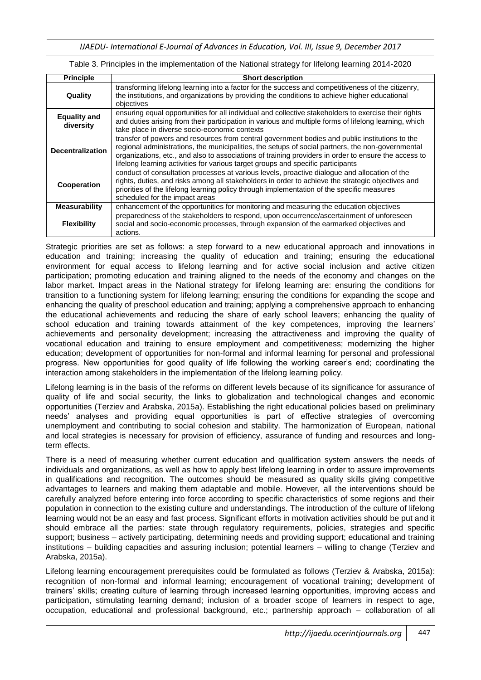*IJAEDU- International E-Journal of Advances in Education, Vol. III, Issue 9, December 2017*

#### Table 3. Principles in the implementation of the National strategy for lifelong learning 2014-2020

| <b>Principle</b>                 | <b>Short description</b>                                                                                                                                                                                                                                                                                                                                                                        |
|----------------------------------|-------------------------------------------------------------------------------------------------------------------------------------------------------------------------------------------------------------------------------------------------------------------------------------------------------------------------------------------------------------------------------------------------|
| Quality                          | transforming lifelong learning into a factor for the success and competitiveness of the citizenry,<br>the institutions, and organizations by providing the conditions to achieve higher educational<br>objectives                                                                                                                                                                               |
| <b>Equality and</b><br>diversity | ensuring equal opportunities for all individual and collective stakeholders to exercise their rights<br>and duties arising from their participation in various and multiple forms of lifelong learning, which<br>take place in diverse socio-economic contexts                                                                                                                                  |
| <b>Decentralization</b>          | transfer of powers and resources from central government bodies and public institutions to the<br>regional administrations, the municipalities, the setups of social partners, the non-governmental<br>organizations, etc., and also to associations of training providers in order to ensure the access to<br>lifelong learning activities for various target groups and specific participants |
| Cooperation                      | conduct of consultation processes at various levels, proactive dialogue and allocation of the<br>rights, duties, and risks among all stakeholders in order to achieve the strategic objectives and<br>priorities of the lifelong learning policy through implementation of the specific measures<br>scheduled for the impact areas                                                              |
| <b>Measurability</b>             | enhancement of the opportunities for monitoring and measuring the education objectives                                                                                                                                                                                                                                                                                                          |
| <b>Flexibility</b>               | preparedness of the stakeholders to respond, upon occurrence/ascertainment of unforeseen<br>social and socio-economic processes, through expansion of the earmarked objectives and<br>actions.                                                                                                                                                                                                  |

Strategic priorities are set as follows: a step forward to a new educational approach and innovations in education and training; increasing the quality of education and training; ensuring the educational environment for equal access to lifelong learning and for active social inclusion and active citizen participation; promoting education and training aligned to the needs of the economy and changes on the labor market. Impact areas in the National strategy for lifelong learning are: ensuring the conditions for transition to a functioning system for lifelong learning; ensuring the conditions for expanding the scope and enhancing the quality of preschool education and training; applying a comprehensive approach to enhancing the educational achievements and reducing the share of early school leavers; enhancing the quality of school education and training towards attainment of the key competences, improving the learners' achievements and personality development; increasing the attractiveness and improving the quality of vocational education and training to ensure employment and competitiveness; modernizing the higher education; development of opportunities for non-formal and informal learning for personal and professional progress. New opportunities for good quality of life following the working career's end; coordinating the interaction among stakeholders in the implementation of the lifelong learning policy.

Lifelong learning is in the basis of the reforms on different levels because of its significance for assurance of quality of life and social security, the links to globalization and technological changes and economic opportunities (Terziev and Arabska, 2015a). Establishing the right educational policies based on preliminary needs' analyses and providing equal opportunities is part of effective strategies of overcoming unemployment and contributing to social cohesion and stability. The harmonization of European, national and local strategies is necessary for provision of efficiency, assurance of funding and resources and longterm effects.

There is a need of measuring whether current education and qualification system answers the needs of individuals and organizations, as well as how to apply best lifelong learning in order to assure improvements in qualifications and recognition. The outcomes should be measured as quality skills giving competitive advantages to learners and making them adaptable and mobile. However, all the interventions should be carefully analyzed before entering into force according to specific characteristics of some regions and their population in connection to the existing culture and understandings. The introduction of the culture of lifelong learning would not be an easy and fast process. Significant efforts in motivation activities should be put and it should embrace all the parties: state through regulatory requirements, policies, strategies and specific support; business – actively participating, determining needs and providing support; educational and training institutions – building capacities and assuring inclusion; potential learners – willing to change (Terziev and Arabska, 2015a).

Lifelong learning encouragement prerequisites could be formulated as follows (Terziev & Arabska, 2015a): recognition of non-formal and informal learning; encouragement of vocational training; development of trainers' skills; creating culture of learning through increased learning opportunities, improving access and participation, stimulating learning demand; inclusion of a broader scope of learners in respect to age, occupation, educational and professional background, etc.; partnership approach – collaboration of all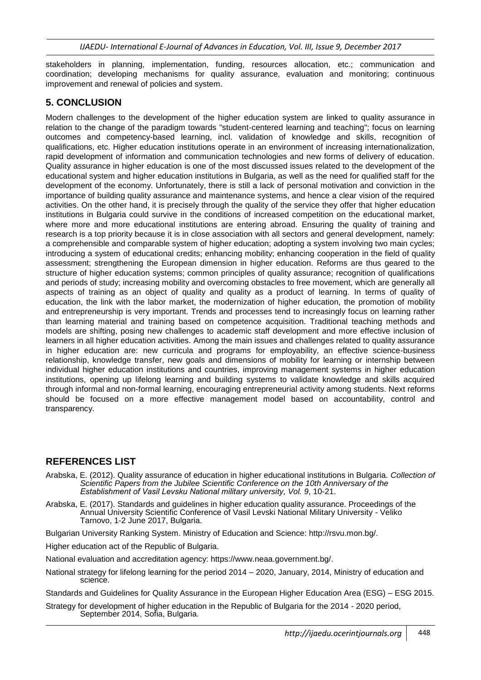stakeholders in planning, implementation, funding, resources allocation, etc.; communication and coordination; developing mechanisms for quality assurance, evaluation and monitoring; continuous improvement and renewal of policies and system.

## **5. CONCLUSION**

Modern challenges to the development of the higher education system are linked to quality assurance in relation to the change of the paradigm towards "student-centered learning and teaching"; focus on learning outcomes and competency-based learning, incl. validation of knowledge and skills, recognition of qualifications, etc. Higher education institutions operate in an environment of increasing internationalization, rapid development of information and communication technologies and new forms of delivery of education. Quality assurance in higher education is one of the most discussed issues related to the development of the educational system and higher education institutions in Bulgaria, as well as the need for qualified staff for the development of the economy. Unfortunately, there is still a lack of personal motivation and conviction in the importance of building quality assurance and maintenance systems, and hence a clear vision of the required activities. On the other hand, it is precisely through the quality of the service they offer that higher education institutions in Bulgaria could survive in the conditions of increased competition on the educational market, where more and more educational institutions are entering abroad. Ensuring the quality of training and research is a top priority because it is in close association with all sectors and general development, namely: a comprehensible and comparable system of higher education; adopting a system involving two main cycles; introducing a system of educational credits; enhancing mobility; enhancing cooperation in the field of quality assessment; strengthening the European dimension in higher education. Reforms are thus geared to the structure of higher education systems; common principles of quality assurance; recognition of qualifications and periods of study; increasing mobility and overcoming obstacles to free movement, which are generally all aspects of training as an object of quality and quality as a product of learning. In terms of quality of education, the link with the labor market, the modernization of higher education, the promotion of mobility and entrepreneurship is very important. Trends and processes tend to increasingly focus on learning rather than learning material and training based on competence acquisition. Traditional teaching methods and models are shifting, posing new challenges to academic staff development and more effective inclusion of learners in all higher education activities. Among the main issues and challenges related to quality assurance in higher education are: new curricula and programs for employability, an effective science-business relationship, knowledge transfer, new goals and dimensions of mobility for learning or internship between individual higher education institutions and countries, improving management systems in higher education institutions, opening up lifelong learning and building systems to validate knowledge and skills acquired through informal and non-formal learning, encouraging entrepreneurial activity among students. Next reforms should be focused on a more effective management model based on accountability, control and transparency.

## **REFERENCES LIST**

- Arabska, E. (2012). Quality assurance of education in higher educational institutions in Bulgaria. *Collection of Scientific Papers from the Jubilee Scientific Conference on the 10th Anniversary of the Establishment of Vasil Levskи National military university, Vol. 9*, 10-21.
- Arabska, E. (2017). Standards and guidelines in higher education quality assurance. Proceedings of the Annual University Scientific Conference of Vasil Levski National Military University - Veliko Tarnovo, 1-2 June 2017, Bulgaria.

Bulgarian University Ranking System. Ministry of Education and Science: http://rsvu.mon.bg/.

Higher education act of the Republic of Bulgaria.

National evaluation and accreditation agency: https://www.neaa.government.bg/.

National strategy for lifelong learning for the period 2014 – 2020, January, 2014, Ministry of education and science.

Standards and Guidelines for Quality Assurance in the European Higher Education Area (ESG) – ESG 2015.

Strategy for development of higher education in the Republic of Bulgaria for the 2014 - 2020 period, September 2014, Sofia, Bulgaria.